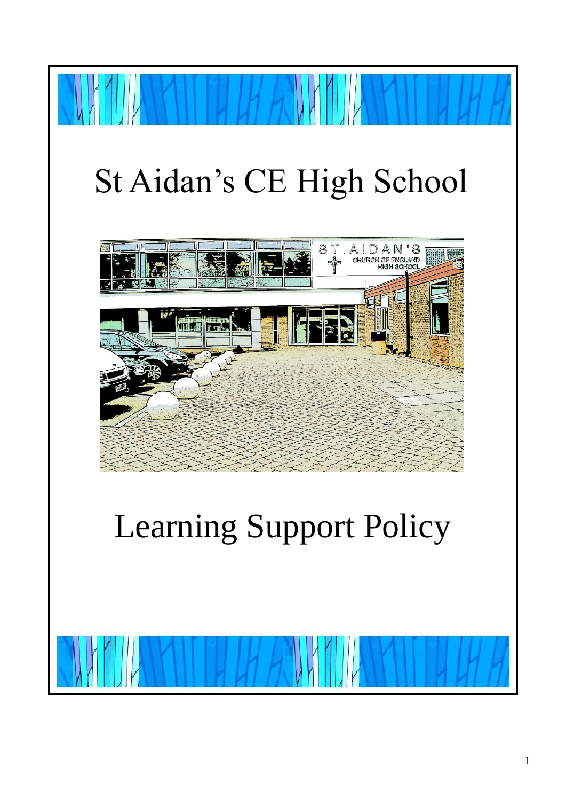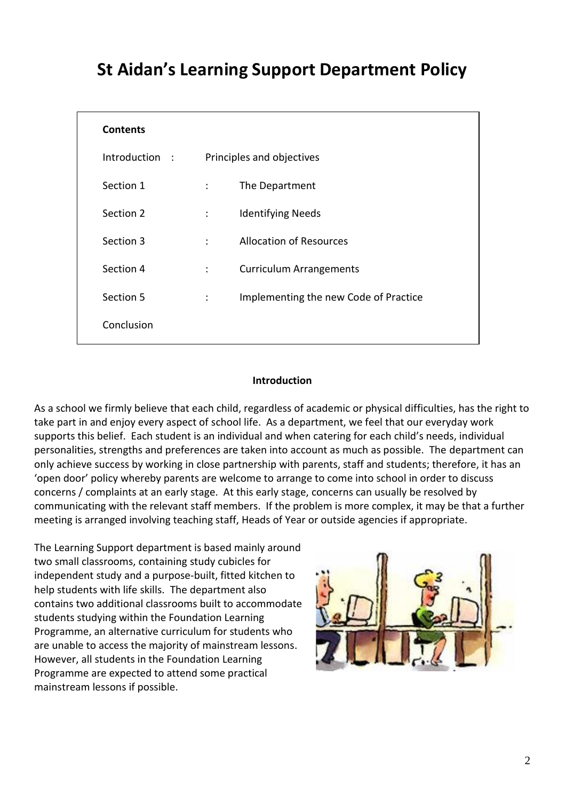# **St Aidan's Learning Support Department Policy**

| <b>Contents</b> |                           |                                       |
|-----------------|---------------------------|---------------------------------------|
| Introduction:   | Principles and objectives |                                       |
| Section 1       | $\ddot{\phantom{0}}$      | The Department                        |
| Section 2       | $\ddot{\phantom{a}}$      | <b>Identifying Needs</b>              |
| Section 3       | ÷                         | <b>Allocation of Resources</b>        |
| Section 4       | $\ddot{\cdot}$            | <b>Curriculum Arrangements</b>        |
| Section 5       | ÷                         | Implementing the new Code of Practice |
| Conclusion      |                           |                                       |
|                 |                           |                                       |

#### **Introduction**

As a school we firmly believe that each child, regardless of academic or physical difficulties, has the right to take part in and enjoy every aspect of school life. As a department, we feel that our everyday work supports this belief. Each student is an individual and when catering for each child's needs, individual personalities, strengths and preferences are taken into account as much as possible. The department can only achieve success by working in close partnership with parents, staff and students; therefore, it has an 'open door' policy whereby parents are welcome to arrange to come into school in order to discuss concerns / complaints at an early stage. At this early stage, concerns can usually be resolved by communicating with the relevant staff members. If the problem is more complex, it may be that a further meeting is arranged involving teaching staff, Heads of Year or outside agencies if appropriate.

The Learning Support department is based mainly around two small classrooms, containing study cubicles for independent study and a purpose-built, fitted kitchen to help students with life skills. The department also contains two additional classrooms built to accommodate students studying within the Foundation Learning Programme, an alternative curriculum for students who are unable to access the majority of mainstream lessons. However, all students in the Foundation Learning Programme are expected to attend some practical mainstream lessons if possible.

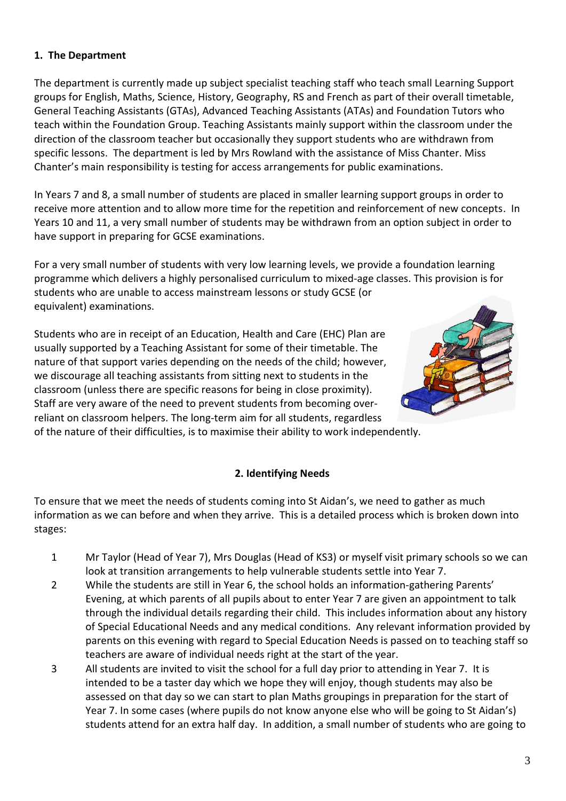## **1. The Department**

The department is currently made up subject specialist teaching staff who teach small Learning Support groups for English, Maths, Science, History, Geography, RS and French as part of their overall timetable, General Teaching Assistants (GTAs), Advanced Teaching Assistants (ATAs) and Foundation Tutors who teach within the Foundation Group. Teaching Assistants mainly support within the classroom under the direction of the classroom teacher but occasionally they support students who are withdrawn from specific lessons. The department is led by Mrs Rowland with the assistance of Miss Chanter. Miss Chanter's main responsibility is testing for access arrangements for public examinations.

In Years 7 and 8, a small number of students are placed in smaller learning support groups in order to receive more attention and to allow more time for the repetition and reinforcement of new concepts. In Years 10 and 11, a very small number of students may be withdrawn from an option subject in order to have support in preparing for GCSE examinations.

For a very small number of students with very low learning levels, we provide a foundation learning programme which delivers a highly personalised curriculum to mixed-age classes. This provision is for students who are unable to access mainstream lessons or study GCSE (or equivalent) examinations.

Students who are in receipt of an Education, Health and Care (EHC) Plan are usually supported by a Teaching Assistant for some of their timetable. The nature of that support varies depending on the needs of the child; however, we discourage all teaching assistants from sitting next to students in the classroom (unless there are specific reasons for being in close proximity). Staff are very aware of the need to prevent students from becoming overreliant on classroom helpers. The long-term aim for all students, regardless of the nature of their difficulties, is to maximise their ability to work independently.



### **2. Identifying Needs**

To ensure that we meet the needs of students coming into St Aidan's, we need to gather as much information as we can before and when they arrive. This is a detailed process which is broken down into stages:

- 1 Mr Taylor (Head of Year 7), Mrs Douglas (Head of KS3) or myself visit primary schools so we can look at transition arrangements to help vulnerable students settle into Year 7.
- 2 While the students are still in Year 6, the school holds an information-gathering Parents' Evening, at which parents of all pupils about to enter Year 7 are given an appointment to talk through the individual details regarding their child. This includes information about any history of Special Educational Needs and any medical conditions. Any relevant information provided by parents on this evening with regard to Special Education Needs is passed on to teaching staff so teachers are aware of individual needs right at the start of the year.
- 3 All students are invited to visit the school for a full day prior to attending in Year 7. It is intended to be a taster day which we hope they will enjoy, though students may also be assessed on that day so we can start to plan Maths groupings in preparation for the start of Year 7. In some cases (where pupils do not know anyone else who will be going to St Aidan's) students attend for an extra half day. In addition, a small number of students who are going to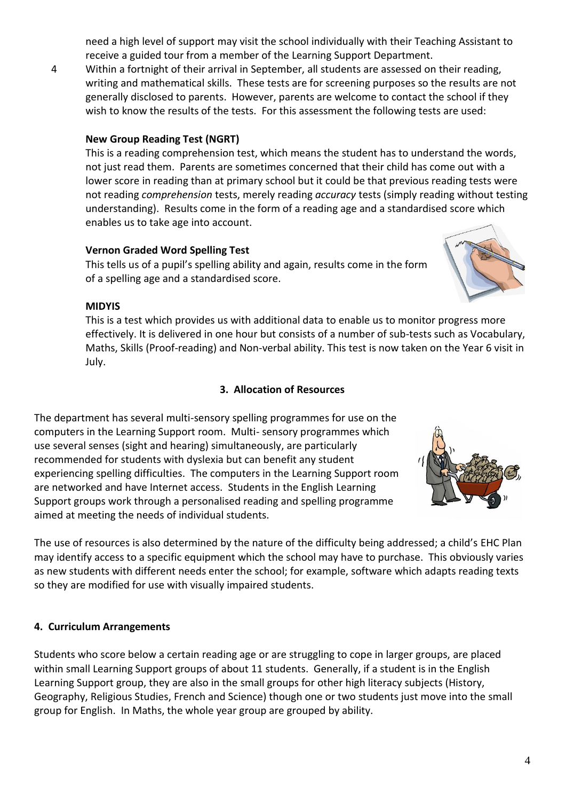need a high level of support may visit the school individually with their Teaching Assistant to receive a guided tour from a member of the Learning Support Department.

4 Within a fortnight of their arrival in September, all students are assessed on their reading, writing and mathematical skills. These tests are for screening purposes so the results are not generally disclosed to parents. However, parents are welcome to contact the school if they wish to know the results of the tests. For this assessment the following tests are used:

## **New Group Reading Test (NGRT)**

This is a reading comprehension test, which means the student has to understand the words, not just read them. Parents are sometimes concerned that their child has come out with a lower score in reading than at primary school but it could be that previous reading tests were not reading *comprehension* tests, merely reading *accuracy* tests (simply reading without testing understanding). Results come in the form of a reading age and a standardised score which enables us to take age into account.

## **Vernon Graded Word Spelling Test**

This tells us of a pupil's spelling ability and again, results come in the form of a spelling age and a standardised score.

### **MIDYIS**

This is a test which provides us with additional data to enable us to monitor progress more effectively. It is delivered in one hour but consists of a number of sub-tests such as Vocabulary, Maths, Skills (Proof-reading) and Non-verbal ability. This test is now taken on the Year 6 visit in July.

## **3. Allocation of Resources**

The department has several multi-sensory spelling programmes for use on the computers in the Learning Support room. Multi- sensory programmes which use several senses (sight and hearing) simultaneously, are particularly recommended for students with dyslexia but can benefit any student experiencing spelling difficulties. The computers in the Learning Support room are networked and have Internet access. Students in the English Learning Support groups work through a personalised reading and spelling programme aimed at meeting the needs of individual students.

The use of resources is also determined by the nature of the difficulty being addressed; a child's EHC Plan may identify access to a specific equipment which the school may have to purchase. This obviously varies as new students with different needs enter the school; for example, software which adapts reading texts so they are modified for use with visually impaired students.

### **4. Curriculum Arrangements**

Students who score below a certain reading age or are struggling to cope in larger groups, are placed within small Learning Support groups of about 11 students. Generally, if a student is in the English Learning Support group, they are also in the small groups for other high literacy subjects (History, Geography, Religious Studies, French and Science) though one or two students just move into the small group for English. In Maths, the whole year group are grouped by ability.



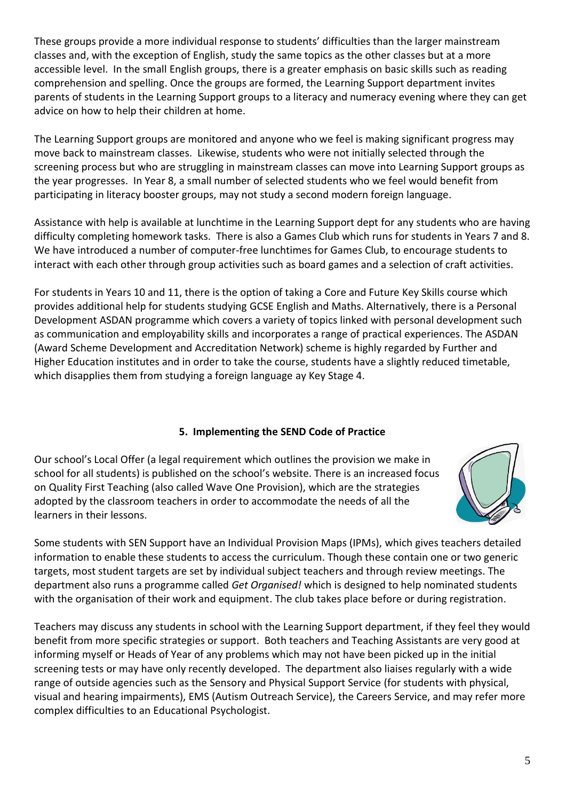These groups provide a more individual response to students' difficulties than the larger mainstream classes and, with the exception of English, study the same topics as the other classes but at a more accessible level. In the small English groups, there is a greater emphasis on basic skills such as reading comprehension and spelling. Once the groups are formed, the Learning Support department invites parents of students in the Learning Support groups to a literacy and numeracy evening where they can get advice on how to help their children at home.

The Learning Support groups are monitored and anyone who we feel is making significant progress may move back to mainstream classes. Likewise, students who were not initially selected through the screening process but who are struggling in mainstream classes can move into Learning Support groups as the year progresses. In Year 8, a small number of selected students who we feel would benefit from participating in literacy booster groups, may not study a second modern foreign language.

Assistance with help is available at lunchtime in the Learning Support dept for any students who are having difficulty completing homework tasks. There is also a Games Club which runs for students in Years 7 and 8. We have introduced a number of computer-free lunchtimes for Games Club, to encourage students to interact with each other through group activities such as board games and a selection of craft activities.

For students in Years 10 and 11, there is the option of taking a Core and Future Key Skills course which provides additional help for students studying GCSE English and Maths. Alternatively, there is a Personal Development ASDAN programme which covers a variety of topics linked with personal development such as communication and employability skills and incorporates a range of practical experiences. The ASDAN (Award Scheme Development and Accreditation Network) scheme is highly regarded by Further and Higher Education institutes and in order to take the course, students have a slightly reduced timetable, which disapplies them from studying a foreign language ay Key Stage 4.

## **5. Implementing the SEND Code of Practice**

Our school's Local Offer (a legal requirement which outlines the provision we make in school for all students) is published on the school's website. There is an increased focus on Quality First Teaching (also called Wave One Provision), which are the strategies adopted by the classroom teachers in order to accommodate the needs of all the learners in their lessons.



Some students with SEN Support have an Individual Provision Maps (IPMs), which gives teachers detailed information to enable these students to access the curriculum. Though these contain one or two generic targets, most student targets are set by individual subject teachers and through review meetings. The department also runs a programme called *Get Organised!* which is designed to help nominated students with the organisation of their work and equipment. The club takes place before or during registration.

Teachers may discuss any students in school with the Learning Support department, if they feel they would benefit from more specific strategies or support. Both teachers and Teaching Assistants are very good at informing myself or Heads of Year of any problems which may not have been picked up in the initial screening tests or may have only recently developed. The department also liaises regularly with a wide range of outside agencies such as the Sensory and Physical Support Service (for students with physical, visual and hearing impairments), EMS (Autism Outreach Service), the Careers Service, and may refer more complex difficulties to an Educational Psychologist.